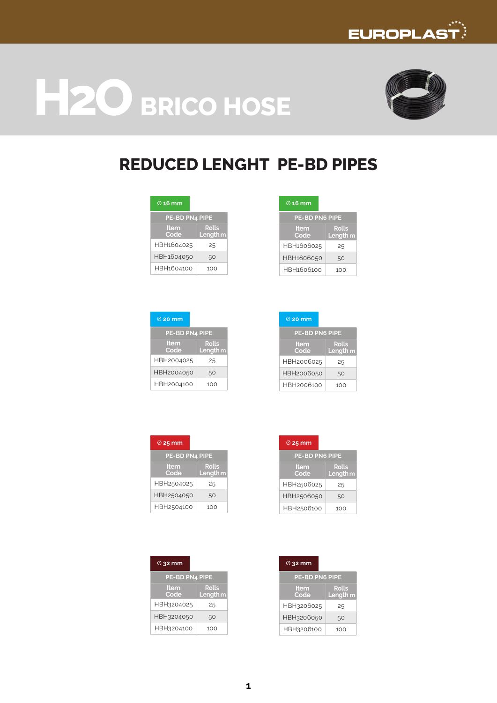





# **REDUCED LENGHT PE-BD PIPES**

| $\varnothing$ 16 mm   |                                     |
|-----------------------|-------------------------------------|
| <b>PE-BD PN4 PIPE</b> |                                     |
| <b>Item</b><br>Code   | <b>Rolls</b><br>Length <sub>m</sub> |
| HBH1604025            | 25                                  |
| HBH1604050            | 50                                  |
| HBH1604100            | 100                                 |

| $\emptyset$ 20 mm   |                                     |
|---------------------|-------------------------------------|
| PE-BD PN4 PIPE      |                                     |
| <b>Item</b><br>Code | <b>Rolls</b><br>Length <sub>m</sub> |
| HBH2004025          | 25                                  |
| HBH2004050          | 50                                  |
| HBH2004100          | 100                                 |

| .                     |                                     |  |  |
|-----------------------|-------------------------------------|--|--|
| <b>PE-BD PN6 PIPE</b> |                                     |  |  |
| Item<br>Code          | <b>Rolls</b><br>Length <sub>m</sub> |  |  |
| HBH1606025            | 25                                  |  |  |
| HBH1606050            | 50                                  |  |  |
| HBH1606100            | 100                                 |  |  |

| $\emptyset$ 20 mm     |                              |  |  |
|-----------------------|------------------------------|--|--|
| <b>PE-BD PN6 PIPE</b> |                              |  |  |
| Item<br>Code          | Rolls<br>Length <sub>m</sub> |  |  |
| HBH2006025            | 25                           |  |  |
| HBH2006050            | 50                           |  |  |
| HBH2006100            | 100                          |  |  |

| $\varnothing$ 25 mm   |                                     |
|-----------------------|-------------------------------------|
| <b>PE-BD PN4 PIPE</b> |                                     |
| <b>Item</b><br>Code   | <b>Rolls</b><br>Length <sub>m</sub> |
| HBH2504025            | 25                                  |
| HBH2504050            | 50                                  |
| HBH2504100            | 100                                 |

| $\varnothing$ 32 mm   |                            |
|-----------------------|----------------------------|
| <b>PE-BD PN4 PIPE</b> |                            |
| <b>Item</b><br>Code   | <b>Rolls</b><br>Length $m$ |
| HBH3204025            | 25                         |
| HBH3204050            | 50                         |
| HBH3204100            | 100                        |

| $\varnothing$ 25 mm   |                                     |  |  |  |
|-----------------------|-------------------------------------|--|--|--|
| <b>PE-BD PN6 PIPE</b> |                                     |  |  |  |
| Item<br>Code          | <b>Rolls</b><br>Length <sub>m</sub> |  |  |  |
| HBH2506025            | 25                                  |  |  |  |
| HBH2506050            | 50                                  |  |  |  |
| HBH2506100            | 100                                 |  |  |  |

| $\varnothing$ 32 mm   |                                     |  |  |
|-----------------------|-------------------------------------|--|--|
| <b>PE-BD PN6 PIPE</b> |                                     |  |  |
| Item<br>Code          | <b>Rolls</b><br>Length <sub>m</sub> |  |  |
| HBH3206025            | 25                                  |  |  |
| HBH3206050            | 50                                  |  |  |
| HBH3206100            | 100                                 |  |  |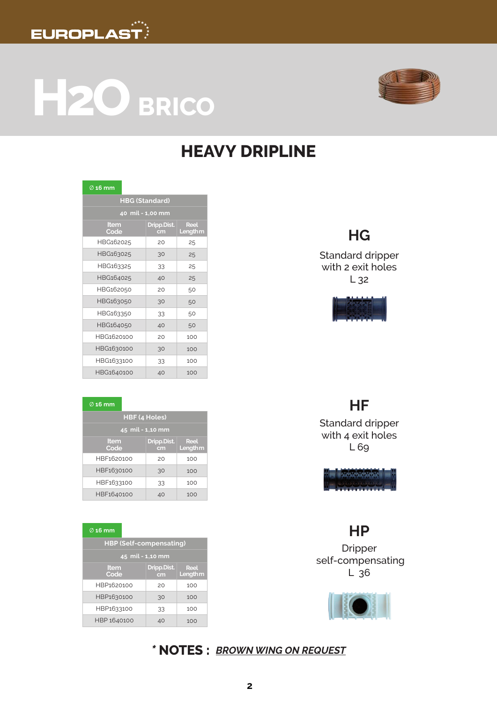

**H2O BRICO**



# **HEAVY DRIPLINE**

| $\varnothing$ 16 mm |                       |                                |  |  |
|---------------------|-----------------------|--------------------------------|--|--|
|                     | <b>HBG (Standard)</b> |                                |  |  |
| 40 mil - 1,00 mm    |                       |                                |  |  |
| Item<br>Code        | Dripp.Dist.<br>cm     | <b>Reel</b><br><b>Length m</b> |  |  |
| HBG162025           | 20                    | 25                             |  |  |
| HBG163025           | 30                    | 25                             |  |  |
| HBG163325           | 33                    | 25                             |  |  |
| HBG164025           | 40                    | 25                             |  |  |
| HBG162050           | 20                    | 50                             |  |  |
| HBG163050           | 30                    | 50                             |  |  |
| HBG163350           | 33                    | 50                             |  |  |
| HBG164050           | 40                    | 50                             |  |  |
| HBG1620100          | 20                    | 100                            |  |  |
| HBG1630100          | 30                    | 100                            |  |  |
| HBG1633100          | 33                    | 100                            |  |  |
| HBG1640100          | 40                    | 100                            |  |  |

#### Ø **16 mm**

| HBF (4 Holes)    |                   |                                    |  |
|------------------|-------------------|------------------------------------|--|
| 45 mil - 1,10 mm |                   |                                    |  |
| Item<br>Code     | Dripp.Dist.<br>cm | <b>Reel</b><br>Length <sub>m</sub> |  |
| HBF1620100       | 20                | 100                                |  |
| HBF1630100       | 30                | 100                                |  |
| HBF1633100       | 33                | 100                                |  |
| HBF1640100       | 40                | 100                                |  |

#### Ø **16 mm**

| <b>HBP (Self-compensating)</b> |                   |                                    |  |
|--------------------------------|-------------------|------------------------------------|--|
| 45 mil - 1,10 mm               |                   |                                    |  |
| Item<br>Code                   | Dripp.Dist.<br>cm | <b>Reel</b><br>Length <sub>m</sub> |  |
| HBP1620100                     | 20                | 100                                |  |
| HBP1630100                     | 30                | 100                                |  |
| HBP1633100                     | 33                | 100                                |  |
| HBP 1640100                    | 40                | 100                                |  |

## **HG**

Standard dripper with 2 exit holes L 32



### **HF**

Standard dripper with 4 exit holes L 69



### **HP**

Dripper self-compensating L 36



*\** **NOTES :** *BROWN WING ON REQUEST*